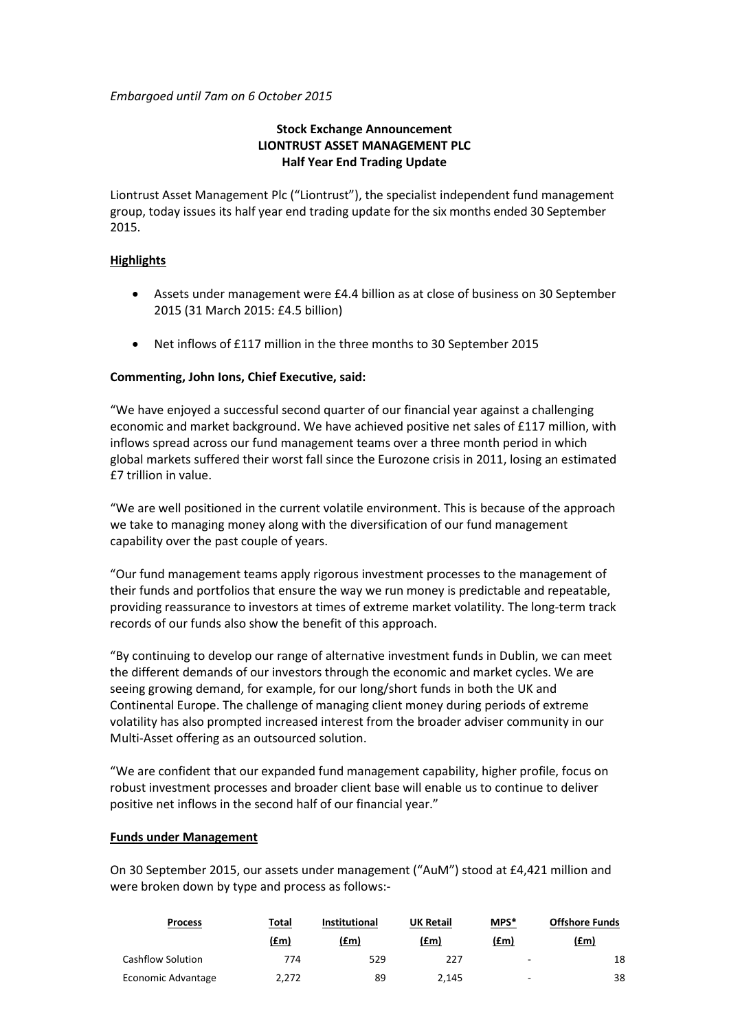*Embargoed until 7am on 6 October 2015*

# **Stock Exchange Announcement LIONTRUST ASSET MANAGEMENT PLC Half Year End Trading Update**

Liontrust Asset Management Plc ("Liontrust"), the specialist independent fund management group, today issues its half year end trading update for the six months ended 30 September 2015.

## **Highlights**

- Assets under management were £4.4 billion as at close of business on 30 September 2015 (31 March 2015: £4.5 billion)
- Net inflows of £117 million in the three months to 30 September 2015

## **Commenting, John Ions, Chief Executive, said:**

"We have enjoyed a successful second quarter of our financial year against a challenging economic and market background. We have achieved positive net sales of £117 million, with inflows spread across our fund management teams over a three month period in which global markets suffered their worst fall since the Eurozone crisis in 2011, losing an estimated £7 trillion in value.

"We are well positioned in the current volatile environment. This is because of the approach we take to managing money along with the diversification of our fund management capability over the past couple of years.

"Our fund management teams apply rigorous investment processes to the management of their funds and portfolios that ensure the way we run money is predictable and repeatable, providing reassurance to investors at times of extreme market volatility. The long-term track records of our funds also show the benefit of this approach.

"By continuing to develop our range of alternative investment funds in Dublin, we can meet the different demands of our investors through the economic and market cycles. We are seeing growing demand, for example, for our long/short funds in both the UK and Continental Europe. The challenge of managing client money during periods of extreme volatility has also prompted increased interest from the broader adviser community in our Multi-Asset offering as an outsourced solution.

"We are confident that our expanded fund management capability, higher profile, focus on robust investment processes and broader client base will enable us to continue to deliver positive net inflows in the second half of our financial year."

## **Funds under Management**

On 30 September 2015, our assets under management ("AuM") stood at £4,421 million and were broken down by type and process as follows:-

| <b>Process</b>     | Total | <b>Institutional</b> | <b>UK Retail</b> | MPS*                     | <b>Offshore Funds</b> |  |
|--------------------|-------|----------------------|------------------|--------------------------|-----------------------|--|
|                    | (£m)  | (£m)                 | (£m)             | (£m)                     | (£m)                  |  |
| Cashflow Solution  | 774   | 529                  | 227              | $\overline{\phantom{a}}$ | 18                    |  |
| Economic Advantage | 2.272 | 89                   | 2.145            | $\overline{\phantom{a}}$ | 38                    |  |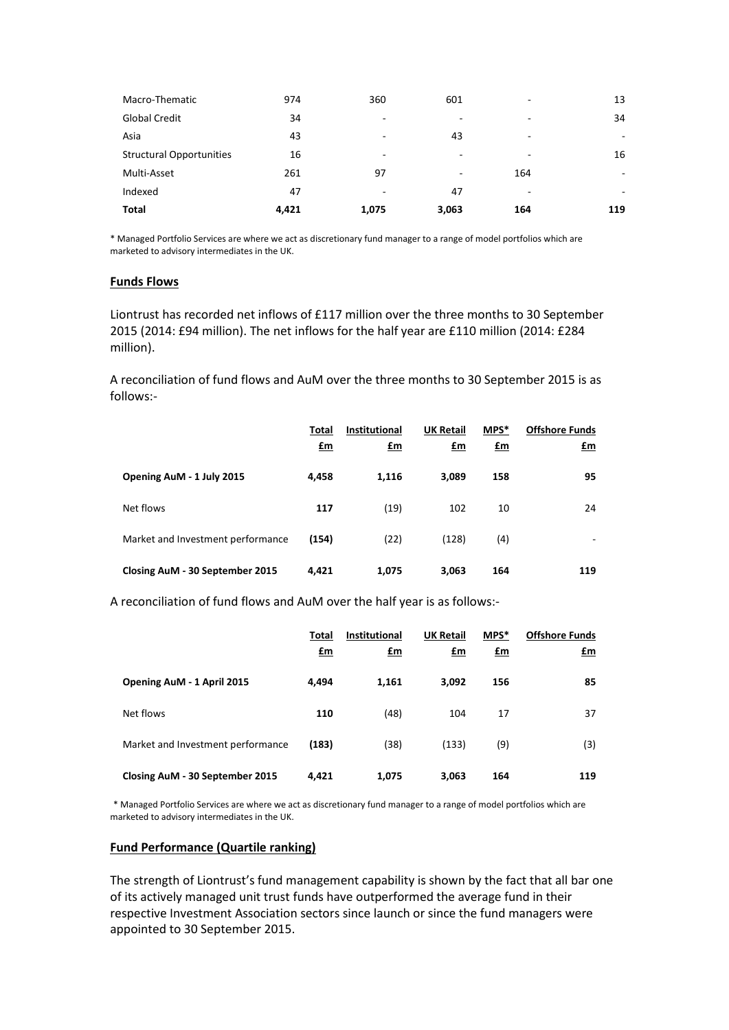| Macro-Thematic                  | 974   | 360                      | 601   | ۰   | 13  |
|---------------------------------|-------|--------------------------|-------|-----|-----|
| <b>Global Credit</b>            | 34    |                          |       | ۰   | 34  |
| Asia                            | 43    | $\overline{\phantom{a}}$ | 43    | ۰   | ۰   |
| <b>Structural Opportunities</b> | 16    |                          | ۰     | ۰   | 16  |
| Multi-Asset                     | 261   | 97                       | ٠     | 164 | ۰   |
| Indexed                         | 47    |                          | 47    | ۰   | ۰   |
| Total                           | 4,421 | 1,075                    | 3,063 | 164 | 119 |

\* Managed Portfolio Services are where we act as discretionary fund manager to a range of model portfolios which are marketed to advisory intermediates in the UK.

### **Funds Flows**

Liontrust has recorded net inflows of £117 million over the three months to 30 September 2015 (2014: £94 million). The net inflows for the half year are £110 million (2014: £284 million).

A reconciliation of fund flows and AuM over the three months to 30 September 2015 is as follows:-

|                                   | Total<br><u>£m</u> | <b>Institutional</b><br>$\mathbf{f}$ m | <b>UK Retail</b><br><u>£m</u> | MPS*<br><u>£m</u> | <b>Offshore Funds</b><br><u>£m</u> |
|-----------------------------------|--------------------|----------------------------------------|-------------------------------|-------------------|------------------------------------|
| Opening AuM - 1 July 2015         | 4,458              | 1,116                                  | 3.089                         | 158               | 95                                 |
| Net flows                         | 117                | (19)                                   | 102                           | 10                | 24                                 |
| Market and Investment performance | (154)              | (22)                                   | (128)                         | (4)               |                                    |
| Closing AuM - 30 September 2015   | 4,421              | 1,075                                  | 3,063                         | 164               | 119                                |

A reconciliation of fund flows and AuM over the half year is as follows:-

|                                   | Total<br>£m | <b>Institutional</b><br>£m | <b>UK Retail</b><br>£m | MPS*<br>$\mathbf{f}$ m | <b>Offshore Funds</b><br>£m |
|-----------------------------------|-------------|----------------------------|------------------------|------------------------|-----------------------------|
| Opening AuM - 1 April 2015        | 4,494       | 1,161                      | 3,092                  | 156                    | 85                          |
| Net flows                         | 110         | (48)                       | 104                    | 17                     | 37                          |
| Market and Investment performance | (183)       | (38)                       | (133)                  | (9)                    | (3)                         |
| Closing AuM - 30 September 2015   | 4,421       | 1,075                      | 3,063                  | 164                    | 119                         |

\* Managed Portfolio Services are where we act as discretionary fund manager to a range of model portfolios which are marketed to advisory intermediates in the UK.

## **Fund Performance (Quartile ranking)**

The strength of Liontrust's fund management capability is shown by the fact that all bar one of its actively managed unit trust funds have outperformed the average fund in their respective Investment Association sectors since launch or since the fund managers were appointed to 30 September 2015.